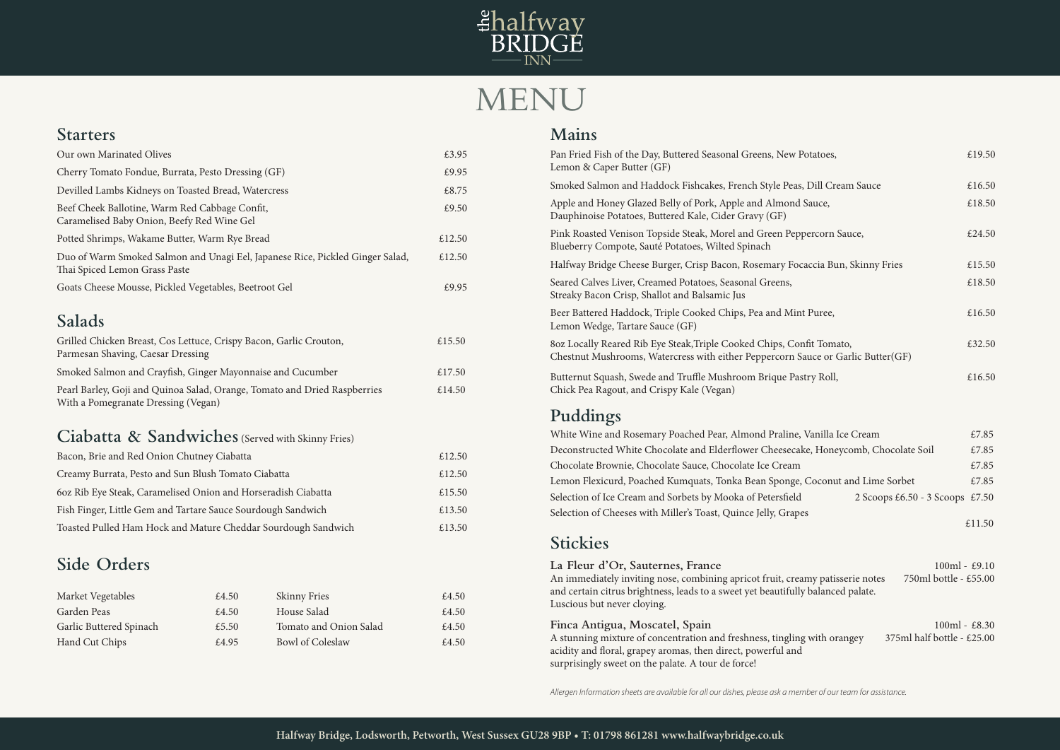## **Starters**

| Our own Marinated Olives                                                                                       | £3.95  |  |
|----------------------------------------------------------------------------------------------------------------|--------|--|
| Cherry Tomato Fondue, Burrata, Pesto Dressing (GF)                                                             | £9.95  |  |
| Devilled Lambs Kidneys on Toasted Bread, Watercress                                                            | £8.75  |  |
| Beef Cheek Ballotine, Warm Red Cabbage Confit,<br>Caramelised Baby Onion, Beefy Red Wine Gel                   | £9.50  |  |
| Potted Shrimps, Wakame Butter, Warm Rye Bread                                                                  | £12.50 |  |
| Duo of Warm Smoked Salmon and Unagi Eel, Japanese Rice, Pickled Ginger Salad,<br>Thai Spiced Lemon Grass Paste | £12.50 |  |
| Goats Cheese Mousse, Pickled Vegetables, Beetroot Gel                                                          | £9.95  |  |

# **Salads**

| Grilled Chicken Breast, Cos Lettuce, Crispy Bacon, Garlic Crouton,<br>Parmesan Shaving, Caesar Dressing          | £15.50 |
|------------------------------------------------------------------------------------------------------------------|--------|
| Smoked Salmon and Crayfish, Ginger Mayonnaise and Cucumber                                                       | £17.50 |
| Pearl Barley, Goji and Quinoa Salad, Orange, Tomato and Dried Raspberries<br>With a Pomegranate Dressing (Vegan) | £14.50 |

## **Ciabatta & Sandwiches** (Served with Skinny Fries)

| Bacon, Brie and Red Onion Chutney Ciabatta                    | £12.50 |
|---------------------------------------------------------------|--------|
| Creamy Burrata, Pesto and Sun Blush Tomato Ciabatta           | £12.50 |
| 60z Rib Eye Steak, Caramelised Onion and Horseradish Ciabatta | £15.50 |
| Fish Finger, Little Gem and Tartare Sauce Sourdough Sandwich  | £13.50 |
| Toasted Pulled Ham Hock and Mature Cheddar Sourdough Sandwich | £13.50 |

# **Side Orders**



# MENU

#### **Mains**

An immediately inviting nose, combining apricot fruit, creamy and certain citrus brightness, leads to a sweet yet beautifully Luscious but never cloying.

#### Finca Antigua, Moscatel, Spain

A stunning mixture of concentration and freshness, tingling acidity and floral, grapey aromas, then direct, powerful and surprisingly sweet on the palate. A tour de force!

| Pan Fried Fish of the Day, Buttered Seasonal Greens, New Potatoes,<br>Lemon & Caper Butter (GF)                                                           | £19.50 |
|-----------------------------------------------------------------------------------------------------------------------------------------------------------|--------|
| Smoked Salmon and Haddock Fishcakes, French Style Peas, Dill Cream Sauce                                                                                  | £16.50 |
| Apple and Honey Glazed Belly of Pork, Apple and Almond Sauce,<br>Dauphinoise Potatoes, Buttered Kale, Cider Gravy (GF)                                    | £18.50 |
| Pink Roasted Venison Topside Steak, Morel and Green Peppercorn Sauce,<br>Blueberry Compote, Sauté Potatoes, Wilted Spinach                                | £24.50 |
| Halfway Bridge Cheese Burger, Crisp Bacon, Rosemary Focaccia Bun, Skinny Fries                                                                            | £15.50 |
| Seared Calves Liver, Creamed Potatoes, Seasonal Greens,<br>Streaky Bacon Crisp, Shallot and Balsamic Jus                                                  | £18.50 |
| Beer Battered Haddock, Triple Cooked Chips, Pea and Mint Puree,<br>Lemon Wedge, Tartare Sauce (GF)                                                        | £16.50 |
| 80z Locally Reared Rib Eye Steak, Triple Cooked Chips, Confit Tomato,<br>Chestnut Mushrooms, Watercress with either Peppercorn Sauce or Garlic Butter(GF) | £32.50 |
| Butternut Squash, Swede and Truffle Mushroom Brique Pastry Roll,<br>Chick Pea Ragout, and Crispy Kale (Vegan)                                             | £16.50 |
| Puddings                                                                                                                                                  |        |
| White Wine and Rosemary Poached Pear, Almond Praline, Vanilla Ice Cream                                                                                   | £7.85  |

Deconstructed White Chocolate and Elderflower Cheesecal Chocolate Brownie, Chocolate Sauce, Chocolate Ice Cream Lemon Flexicurd, Poached Kumquats, Tonka Bean Sponge, Selection of Ice Cream and Sorbets by Mooka of Petersfield Selection of Cheeses with Miller's Toast, Quince Jelly, Grape

| Potatoes,                                                      | £19.50 |
|----------------------------------------------------------------|--------|
| s, Dill Cream Sauce                                            | £16.50 |
| Sauce,                                                         | £18.50 |
| percorn Sauce,                                                 | £24.50 |
| caccia Bun, Skinny Fries                                       | £15.50 |
|                                                                | £18.50 |
| nt Puree,                                                      | £16.50 |
| nfit Tomato,<br>Sauce or Garlic Butter(GF)                     | £32.50 |
| stry Roll,                                                     | £16.50 |
|                                                                |        |
| , Vanilla Ice Cream                                            | £7.85  |
| ke, Honeycomb, Chocolate Soil                                  | £7.85  |
|                                                                | £7.85  |
| , Coconut and Lime Sorbet                                      | £7.85  |
| 2 Scoops £6.50 - 3 Scoops £7.50                                |        |
| es                                                             | £11.50 |
|                                                                |        |
| 100ml - £9.10<br>750ml bottle - £55.00<br>amy patisserie notes |        |
| y balanced palate.                                             |        |
| $100ml - £8.30$                                                |        |
| 375ml half bottle - £25.00<br>g with orangey                   |        |
|                                                                |        |

## **Stickies**

#### La Fleur d'Or, Sauternes, France

*Allergen Information sheets are available for all our dishes, please ask a member of our team for assistance.*

| Market Vegetables       | £4.50 | <b>Skinny Fries</b>     | £4.50 |
|-------------------------|-------|-------------------------|-------|
| Garden Peas             | £4.50 | House Salad             | £4.50 |
| Garlic Buttered Spinach | £5.50 | Tomato and Onion Salad  | £4.50 |
| Hand Cut Chips          | £4.95 | <b>Bowl of Coleslaw</b> | £4.50 |